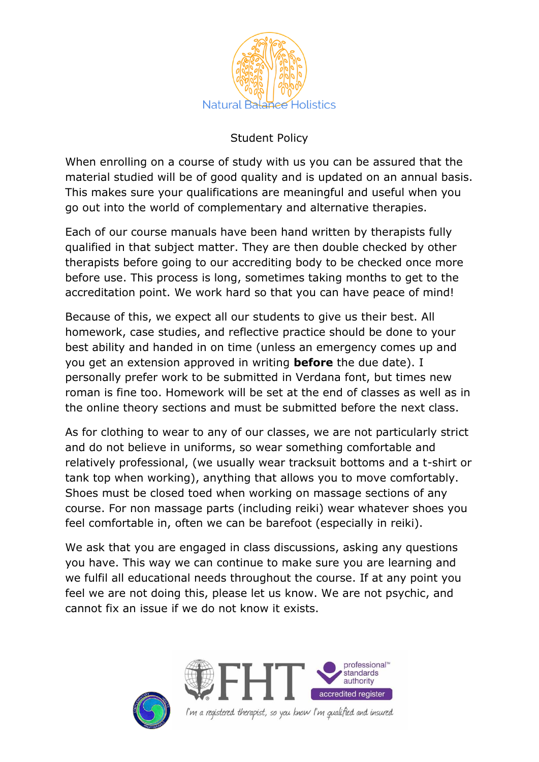

## Student Policy

When enrolling on a course of study with us you can be assured that the material studied will be of good quality and is updated on an annual basis. This makes sure your qualifications are meaningful and useful when you go out into the world of complementary and alternative therapies.

Each of our course manuals have been hand written by therapists fully qualified in that subject matter. They are then double checked by other therapists before going to our accrediting body to be checked once more before use. This process is long, sometimes taking months to get to the accreditation point. We work hard so that you can have peace of mind!

Because of this, we expect all our students to give us their best. All homework, case studies, and reflective practice should be done to your best ability and handed in on time (unless an emergency comes up and you get an extension approved in writing **before** the due date). I personally prefer work to be submitted in Verdana font, but times new roman is fine too. Homework will be set at the end of classes as well as in the online theory sections and must be submitted before the next class.

As for clothing to wear to any of our classes, we are not particularly strict and do not believe in uniforms, so wear something comfortable and relatively professional, (we usually wear tracksuit bottoms and a t-shirt or tank top when working), anything that allows you to move comfortably. Shoes must be closed toed when working on massage sections of any course. For non massage parts (including reiki) wear whatever shoes you feel comfortable in, often we can be barefoot (especially in reiki).

We ask that you are engaged in class discussions, asking any questions you have. This way we can continue to make sure you are learning and we fulfil all educational needs throughout the course. If at any point you feel we are not doing this, please let us know. We are not psychic, and cannot fix an issue if we do not know it exists.





I'm a registered therapist, so you know I'm qualified and insured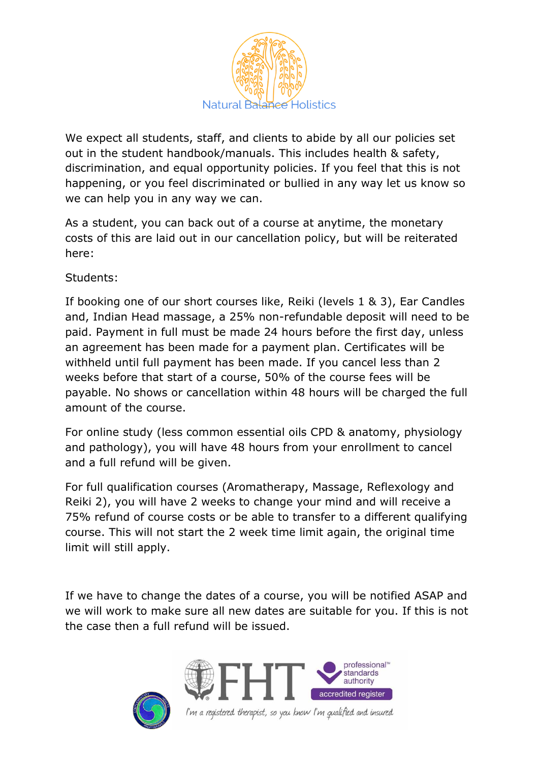

We expect all students, staff, and clients to abide by all our policies set out in the student handbook/manuals. This includes health & safety, discrimination, and equal opportunity policies. If you feel that this is not happening, or you feel discriminated or bullied in any way let us know so we can help you in any way we can.

As a student, you can back out of a course at anytime, the monetary costs of this are laid out in our cancellation policy, but will be reiterated here:

Students:

If booking one of our short courses like, Reiki (levels 1 & 3), Ear Candles and, Indian Head massage, a 25% non-refundable deposit will need to be paid. Payment in full must be made 24 hours before the first day, unless an agreement has been made for a payment plan. Certificates will be withheld until full payment has been made. If you cancel less than 2 weeks before that start of a course, 50% of the course fees will be payable. No shows or cancellation within 48 hours will be charged the full amount of the course.

For online study (less common essential oils CPD & anatomy, physiology and pathology), you will have 48 hours from your enrollment to cancel and a full refund will be given.

For full qualification courses (Aromatherapy, Massage, Reflexology and Reiki 2), you will have 2 weeks to change your mind and will receive a 75% refund of course costs or be able to transfer to a different qualifying course. This will not start the 2 week time limit again, the original time limit will still apply.

If we have to change the dates of a course, you will be notified ASAP and we will work to make sure all new dates are suitable for you. If this is not the case then a full refund will be issued.





I'm a registered therapist, so you know I'm qualified and insured